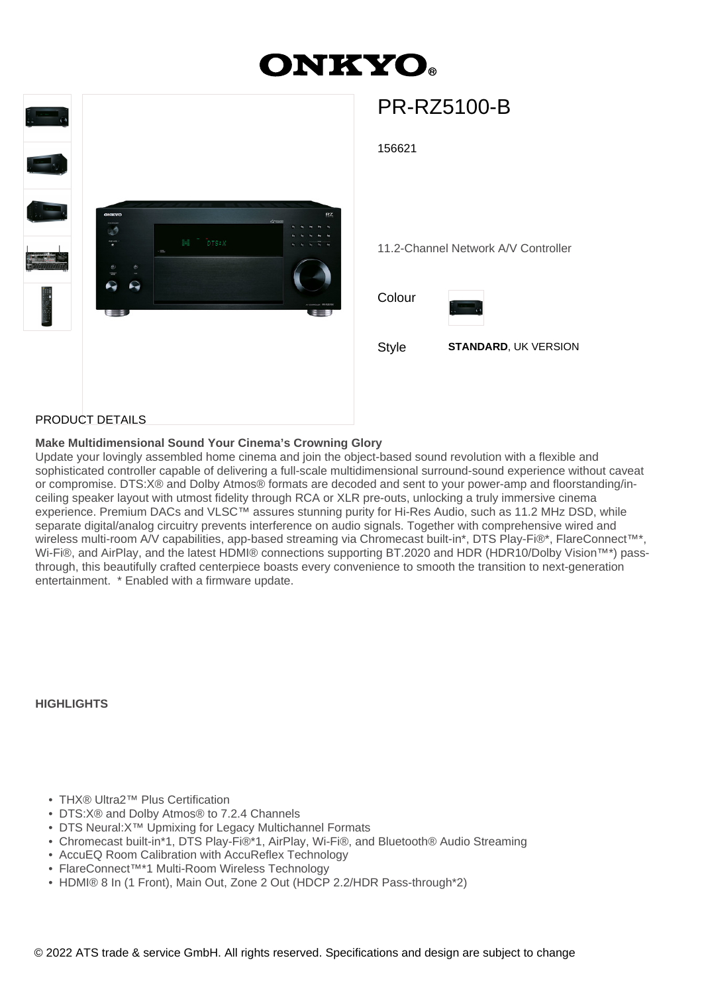# **ONKYO.**



# PR-RZ5100-B

156621

11.2-Channel Network A/V Controller

Colour



Style **STANDARD**, UK VERSION

### PRODUCT DETAILS

#### **Make Multidimensional Sound Your Cinema's Crowning Glory**

Update your lovingly assembled home cinema and join the object-based sound revolution with a flexible and sophisticated controller capable of delivering a full-scale multidimensional surround-sound experience without caveat or compromise. DTS:X® and Dolby Atmos® formats are decoded and sent to your power-amp and floorstanding/inceiling speaker layout with utmost fidelity through RCA or XLR pre-outs, unlocking a truly immersive cinema experience. Premium DACs and VLSC™ assures stunning purity for Hi-Res Audio, such as 11.2 MHz DSD, while separate digital/analog circuitry prevents interference on audio signals. Together with comprehensive wired and wireless multi-room A/V capabilities, app-based streaming via Chromecast built-in\*, DTS Play-Fi®\*, FlareConnect™\*, Wi-Fi®, and AirPlay, and the latest HDMI® connections supporting BT.2020 and HDR (HDR10/Dolby Vision™\*) passthrough, this beautifully crafted centerpiece boasts every convenience to smooth the transition to next-generation entertainment. \* Enabled with a firmware update.

**HIGHLIGHTS**

- THX® Ultra2™ Plus Certification
- DTS:X® and Dolby Atmos® to 7.2.4 Channels
- DTS Neural:X™ Upmixing for Legacy Multichannel Formats
- Chromecast built-in\*1, DTS Play-Fi®\*1, AirPlay, Wi-Fi®, and Bluetooth® Audio Streaming
- AccuEQ Room Calibration with AccuReflex Technology
- FlareConnect™\*1 Multi-Room Wireless Technology
- HDMI® 8 In (1 Front), Main Out, Zone 2 Out (HDCP 2.2/HDR Pass-through\*2)